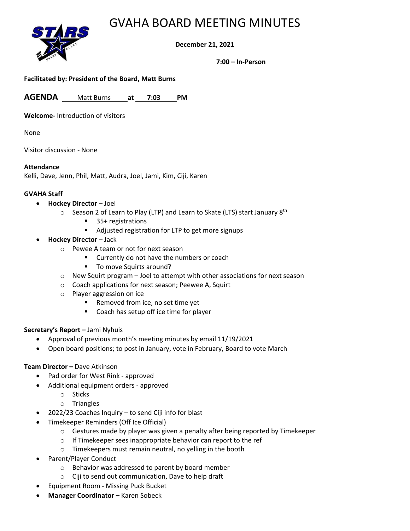## GVAHA BOARD MEETING MINUTES



**December 21, 2021**

**7:00 – In-Person**

## **Facilitated by: President of the Board, Matt Burns**

**AGENDA** Matt Burns **at 7:03 PM**

**Welcome-** Introduction of visitors

None

Visitor discussion - None

#### **Attendance**

Kelli, Dave, Jenn, Phil, Matt, Audra, Joel, Jami, Kim, Ciji, Karen

## **GVAHA Staff**

- **Hockey Director** Joel
	- $\circ$  Season 2 of Learn to Play (LTP) and Learn to Skate (LTS) start January 8<sup>th</sup>
		- 35+ registrations
		- Adjusted registration for LTP to get more signups
- **Hockey Director** Jack
	- o Pewee A team or not for next season
		- Currently do not have the numbers or coach
		- To move Squirts around?
	- o New Squirt program Joel to attempt with other associations for next season
	- o Coach applications for next season; Peewee A, Squirt
	- o Player aggression on ice
		- Removed from ice, no set time yet
		- Coach has setup off ice time for player

## **Secretary's Report –** Jami Nyhuis

- Approval of previous month's meeting minutes by email 11/19/2021
- Open board positions; to post in January, vote in February, Board to vote March

## **Team Director –** Dave Atkinson

- Pad order for West Rink approved
- Additional equipment orders approved
	- o Sticks
		- o Triangles
- 2022/23 Coaches Inquiry to send Ciji info for blast
- Timekeeper Reminders (Off Ice Official)
	- $\circ$  Gestures made by player was given a penalty after being reported by Timekeeper
	- o If Timekeeper sees inappropriate behavior can report to the ref
	- o Timekeepers must remain neutral, no yelling in the booth
- Parent/Player Conduct
	- o Behavior was addressed to parent by board member
	- o Ciji to send out communication, Dave to help draft
- Equipment Room Missing Puck Bucket
- **Manager Coordinator –** Karen Sobeck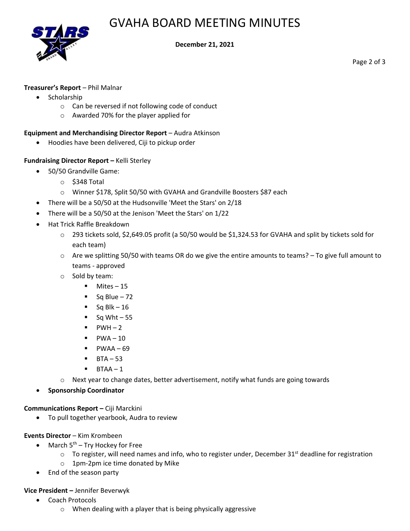# GVAHA BOARD MEETING MINUTES



#### **December 21, 2021**

Page 2 of 3

## **Treasurer's Report** – Phil Malnar

- Scholarship
	- o Can be reversed if not following code of conduct
	- o Awarded 70% for the player applied for

## **Equipment and Merchandising Director Report** – Audra Atkinson

• Hoodies have been delivered, Ciji to pickup order

## **Fundraising Director Report –** Kelli Sterley

- 50/50 Grandville Game:
	- o \$348 Total
	- o Winner \$178, Split 50/50 with GVAHA and Grandville Boosters \$87 each
- There will be a 50/50 at the Hudsonville 'Meet the Stars' on 2/18
- There will be a 50/50 at the Jenison 'Meet the Stars' on 1/22
- Hat Trick Raffle Breakdown
	- $\circ$  293 tickets sold, \$2,649.05 profit (a 50/50 would be \$1,324.53 for GVAHA and split by tickets sold for each team)
	- $\circ$  Are we splitting 50/50 with teams OR do we give the entire amounts to teams? To give full amount to teams - approved
	- o Sold by team:
		- Mites 15
		- $\blacksquare$  Sq Blue 72
		- $\blacksquare$  Sq Blk 16
		- $\blacksquare$  Sq Wht 55
		- $\blacksquare$  PWH 2
		- $\blacksquare$  PWA-10
		- $\blacksquare$  PWAA 69
		- $\blacksquare$  BTA 53
		- $\blacksquare$  BTAA 1
	- $\circ$  Next year to change dates, better advertisement, notify what funds are going towards
- **Sponsorship Coordinator**

## **Communications Report –** Ciji Marckini

• To pull together yearbook, Audra to review

## **Events Director** – Kim Krombeen

- March  $5<sup>th</sup>$  Try Hockey for Free
	- $\circ$  To register, will need names and info, who to register under, December 31<sup>st</sup> deadline for registration
	- o 1pm-2pm ice time donated by Mike
- End of the season party

## **Vice President –** Jennifer Beverwyk

- Coach Protocols
	- o When dealing with a player that is being physically aggressive